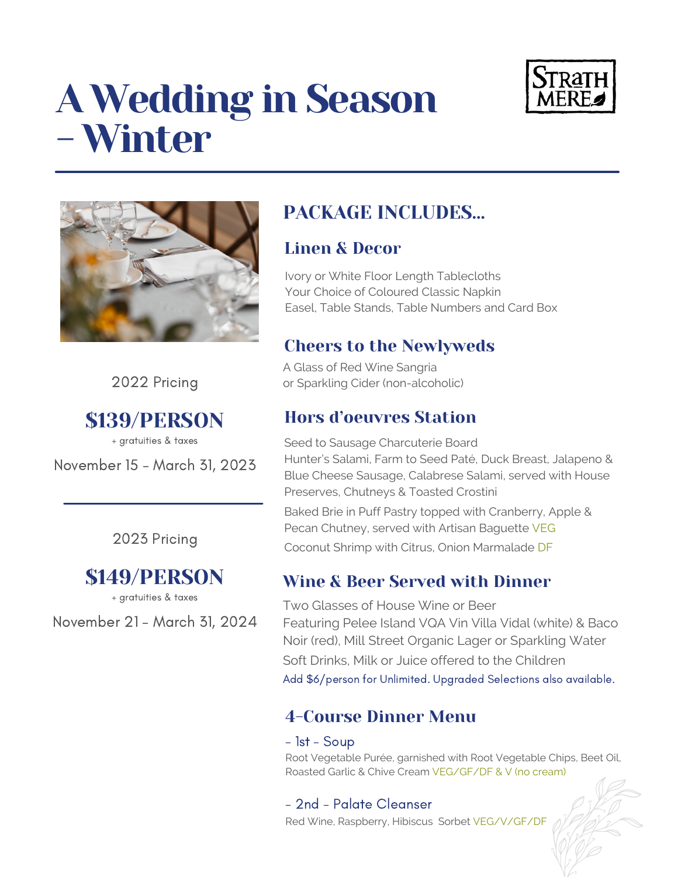# A Wedding in Season - Winter





2022 Pricing

\$139/PERSON

November 15 - March 31, 2023 + gratuities & taxes

### 2023 Pricing

## \$149/PERSON

+ gratuities & taxes

November 21 - March 31, 2024

## PACKAGE INCLUDES…

## Linen & Decor

Ivory or White Floor Length Tablecloths Your Choice of Coloured Classic Napkin Easel, Table Stands, Table Numbers and Card Box

## Cheers to the Newlyweds

A Glass of Red Wine Sangria or Sparkling Cider (non-alcoholic)

## Hors d'oeuvres Station

Seed to Sausage Charcuterie Board Hunter's Salami, Farm to Seed Paté, Duck Breast, Jalapeno & Blue Cheese Sausage, Calabrese Salami, served with House Preserves, Chutneys & Toasted Crostini

Baked Brie in Puff Pastry topped with Cranberry, Apple & Pecan Chutney, served with Artisan Baguette VEG Coconut Shrimp with Citrus, Onion Marmalade DF

## Wine & Beer Served with Dinner

Two Glasses of House Wine or Beer Featuring Pelee Island VQA Vin Villa Vidal (white) & Baco Noir (red), Mill Street Organic Lager or Sparkling Water Soft Drinks, Milk or Juice offered to the Children Add \$6/person for Unlimited. Upgraded Selections also available.

## 4-Course Dinner Menu

#### - 1st - Soup

Root Vegetable Purée, garnished with Root Vegetable Chips, Beet Oil, Roasted Garlic & Chive Cream VEG/GF/DF & V (no cream)

## - 2nd - Palate Cleanser

Red Wine, Raspberry, Hibiscus Sorbet VEG/V/GF/DF